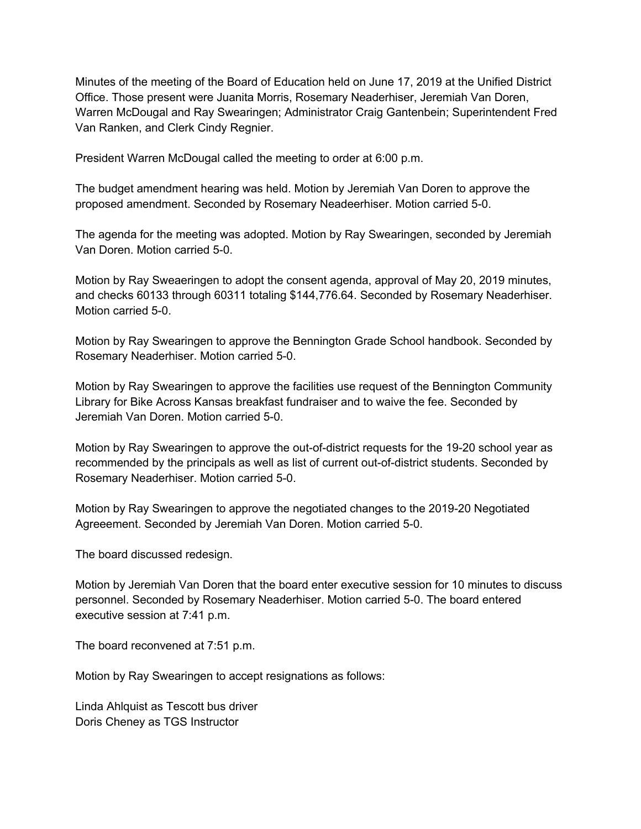Minutes of the meeting of the Board of Education held on June 17, 2019 at the Unified District Office. Those present were Juanita Morris, Rosemary Neaderhiser, Jeremiah Van Doren, Warren McDougal and Ray Swearingen; Administrator Craig Gantenbein; Superintendent Fred Van Ranken, and Clerk Cindy Regnier.

President Warren McDougal called the meeting to order at 6:00 p.m.

The budget amendment hearing was held. Motion by Jeremiah Van Doren to approve the proposed amendment. Seconded by Rosemary Neadeerhiser. Motion carried 5-0.

The agenda for the meeting was adopted. Motion by Ray Swearingen, seconded by Jeremiah Van Doren. Motion carried 5-0.

Motion by Ray Sweaeringen to adopt the consent agenda, approval of May 20, 2019 minutes, and checks 60133 through 60311 totaling \$144,776.64. Seconded by Rosemary Neaderhiser. Motion carried 5-0.

Motion by Ray Swearingen to approve the Bennington Grade School handbook. Seconded by Rosemary Neaderhiser. Motion carried 5-0.

Motion by Ray Swearingen to approve the facilities use request of the Bennington Community Library for Bike Across Kansas breakfast fundraiser and to waive the fee. Seconded by Jeremiah Van Doren. Motion carried 5-0.

Motion by Ray Swearingen to approve the out-of-district requests for the 19-20 school year as recommended by the principals as well as list of current out-of-district students. Seconded by Rosemary Neaderhiser. Motion carried 5-0.

Motion by Ray Swearingen to approve the negotiated changes to the 2019-20 Negotiated Agreeement. Seconded by Jeremiah Van Doren. Motion carried 5-0.

The board discussed redesign.

Motion by Jeremiah Van Doren that the board enter executive session for 10 minutes to discuss personnel. Seconded by Rosemary Neaderhiser. Motion carried 5-0. The board entered executive session at 7:41 p.m.

The board reconvened at 7:51 p.m.

Motion by Ray Swearingen to accept resignations as follows:

Linda Ahlquist as Tescott bus driver Doris Cheney as TGS Instructor